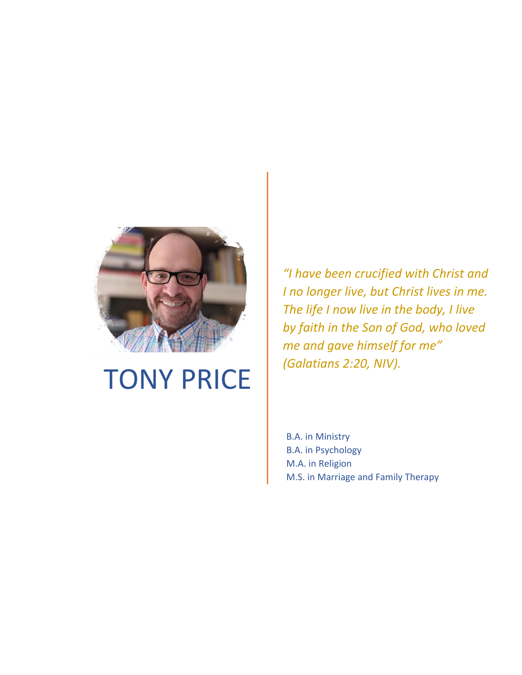

# TONY PRICE

*"I have been crucified with Christ and I no longer live, but Christ lives in me. The life I now live in the body, I live by faith in the Son of God, who loved me and gave himself for me" (Galatians 2:20, NIV).* 

B.A. in Ministry B.A. in Psychology M.A. in Religion M.S. in Marriage and Family Therapy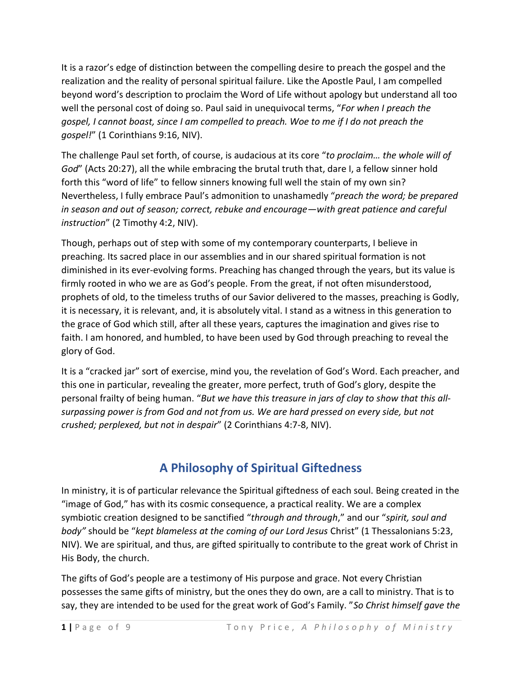It is a razor's edge of distinction between the compelling desire to preach the gospel and the realization and the reality of personal spiritual failure. Like the Apostle Paul, I am compelled beyond word's description to proclaim the Word of Life without apology but understand all too well the personal cost of doing so. Paul said in unequivocal terms, "*For when I preach the gospel, I cannot boast, since I am compelled to preach. Woe to me if I do not preach the gospel!*" (1 Corinthians 9:16, NIV).

The challenge Paul set forth, of course, is audacious at its core "*to proclaim… the whole will of God*" (Acts 20:27), all the while embracing the brutal truth that, dare I, a fellow sinner hold forth this "word of life" to fellow sinners knowing full well the stain of my own sin? Nevertheless, I fully embrace Paul's admonition to unashamedly "*preach the word; be prepared in season and out of season; correct, rebuke and encourage—with great patience and careful instruction*" (2 Timothy 4:2, NIV).

Though, perhaps out of step with some of my contemporary counterparts, I believe in preaching. Its sacred place in our assemblies and in our shared spiritual formation is not diminished in its ever-evolving forms. Preaching has changed through the years, but its value is firmly rooted in who we are as God's people. From the great, if not often misunderstood, prophets of old, to the timeless truths of our Savior delivered to the masses, preaching is Godly, it is necessary, it is relevant, and, it is absolutely vital. I stand as a witness in this generation to the grace of God which still, after all these years, captures the imagination and gives rise to faith. I am honored, and humbled, to have been used by God through preaching to reveal the glory of God.

It is a "cracked jar" sort of exercise, mind you, the revelation of God's Word. Each preacher, and this one in particular, revealing the greater, more perfect, truth of God's glory, despite the personal frailty of being human. "*But we have this treasure in jars of clay to show that this allsurpassing power is from God and not from us. We are hard pressed on every side, but not crushed; perplexed, but not in despair*" (2 Corinthians 4:7-8, NIV).

#### **A Philosophy of Spiritual Giftedness**

In ministry, it is of particular relevance the Spiritual giftedness of each soul. Being created in the "image of God," has with its cosmic consequence, a practical reality. We are a complex symbiotic creation designed to be sanctified "*through and through*," and our "*spirit, soul and body"* should be "*kept blameless at the coming of our Lord Jesus* Christ" (1 Thessalonians 5:23, NIV). We are spiritual, and thus, are gifted spiritually to contribute to the great work of Christ in His Body, the church.

The gifts of God's people are a testimony of His purpose and grace. Not every Christian possesses the same gifts of ministry, but the ones they do own, are a call to ministry. That is to say, they are intended to be used for the great work of God's Family. "*So Christ himself gave the*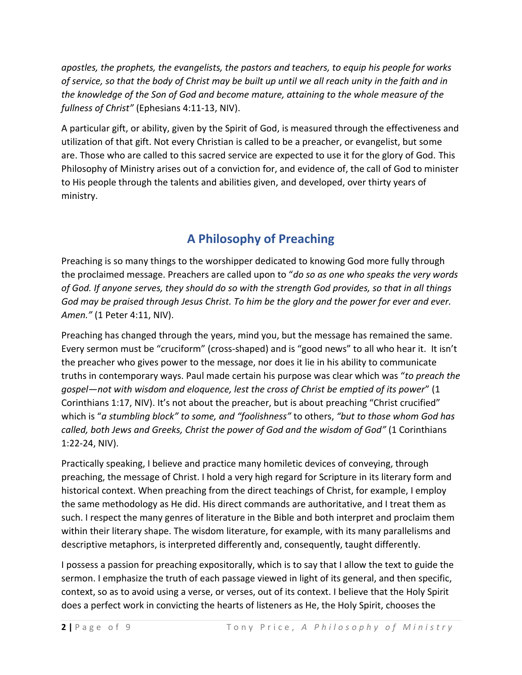*apostles, the prophets, the evangelists, the pastors and teachers, to equip his people for works of service, so that the body of Christ may be built up until we all reach unity in the faith and in the knowledge of the Son of God and become mature, attaining to the whole measure of the fullness of Christ"* (Ephesians 4:11-13, NIV).

A particular gift, or ability, given by the Spirit of God, is measured through the effectiveness and utilization of that gift. Not every Christian is called to be a preacher, or evangelist, but some are. Those who are called to this sacred service are expected to use it for the glory of God. This Philosophy of Ministry arises out of a conviction for, and evidence of, the call of God to minister to His people through the talents and abilities given, and developed, over thirty years of ministry.

# **A Philosophy of Preaching**

Preaching is so many things to the worshipper dedicated to knowing God more fully through the proclaimed message. Preachers are called upon to "*do so as one who speaks the very words of God. If anyone serves, they should do so with the strength God provides, so that in all things God may be praised through Jesus Christ. To him be the glory and the power for ever and ever. Amen."* (1 Peter 4:11, NIV).

Preaching has changed through the years, mind you, but the message has remained the same. Every sermon must be "cruciform" (cross-shaped) and is "good news" to all who hear it. It isn't the preacher who gives power to the message, nor does it lie in his ability to communicate truths in contemporary ways. Paul made certain his purpose was clear which was "*to preach the gospel—not with wisdom and eloquence, lest the cross of Christ be emptied of its power*" (1 Corinthians 1:17, NIV). It's not about the preacher, but is about preaching "Christ crucified" which is "*a stumbling block" to some, and "foolishness"* to others, *"but to those whom God has called, both Jews and Greeks, Christ the power of God and the wisdom of God"* (1 Corinthians 1:22-24, NIV).

Practically speaking, I believe and practice many homiletic devices of conveying, through preaching, the message of Christ. I hold a very high regard for Scripture in its literary form and historical context. When preaching from the direct teachings of Christ, for example, I employ the same methodology as He did. His direct commands are authoritative, and I treat them as such. I respect the many genres of literature in the Bible and both interpret and proclaim them within their literary shape. The wisdom literature, for example, with its many parallelisms and descriptive metaphors, is interpreted differently and, consequently, taught differently.

I possess a passion for preaching expositorally, which is to say that I allow the text to guide the sermon. I emphasize the truth of each passage viewed in light of its general, and then specific, context, so as to avoid using a verse, or verses, out of its context. I believe that the Holy Spirit does a perfect work in convicting the hearts of listeners as He, the Holy Spirit, chooses the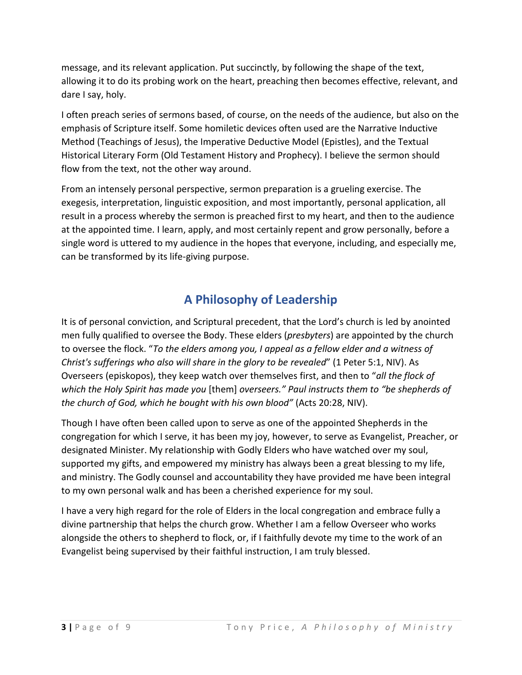message, and its relevant application. Put succinctly, by following the shape of the text, allowing it to do its probing work on the heart, preaching then becomes effective, relevant, and dare I say, holy.

I often preach series of sermons based, of course, on the needs of the audience, but also on the emphasis of Scripture itself. Some homiletic devices often used are the Narrative Inductive Method (Teachings of Jesus), the Imperative Deductive Model (Epistles), and the Textual Historical Literary Form (Old Testament History and Prophecy). I believe the sermon should flow from the text, not the other way around.

From an intensely personal perspective, sermon preparation is a grueling exercise. The exegesis, interpretation, linguistic exposition, and most importantly, personal application, all result in a process whereby the sermon is preached first to my heart, and then to the audience at the appointed time. I learn, apply, and most certainly repent and grow personally, before a single word is uttered to my audience in the hopes that everyone, including, and especially me, can be transformed by its life-giving purpose.

#### **A Philosophy of Leadership**

It is of personal conviction, and Scriptural precedent, that the Lord's church is led by anointed men fully qualified to oversee the Body. These elders (*presbyters*) are appointed by the church to oversee the flock. "*To the elders among you, I appeal as a fellow elder and a witness of Christ's sufferings who also will share in the glory to be revealed*" (1 Peter 5:1, NIV). As Overseers (episkopos), they keep watch over themselves first, and then to "*all the flock of which the Holy Spirit has made you* [them] *overseers." Paul instructs them to "be shepherds of the church of God, which he bought with his own blood"* (Acts 20:28, NIV).

Though I have often been called upon to serve as one of the appointed Shepherds in the congregation for which I serve, it has been my joy, however, to serve as Evangelist, Preacher, or designated Minister. My relationship with Godly Elders who have watched over my soul, supported my gifts, and empowered my ministry has always been a great blessing to my life, and ministry. The Godly counsel and accountability they have provided me have been integral to my own personal walk and has been a cherished experience for my soul.

I have a very high regard for the role of Elders in the local congregation and embrace fully a divine partnership that helps the church grow. Whether I am a fellow Overseer who works alongside the others to shepherd to flock, or, if I faithfully devote my time to the work of an Evangelist being supervised by their faithful instruction, I am truly blessed.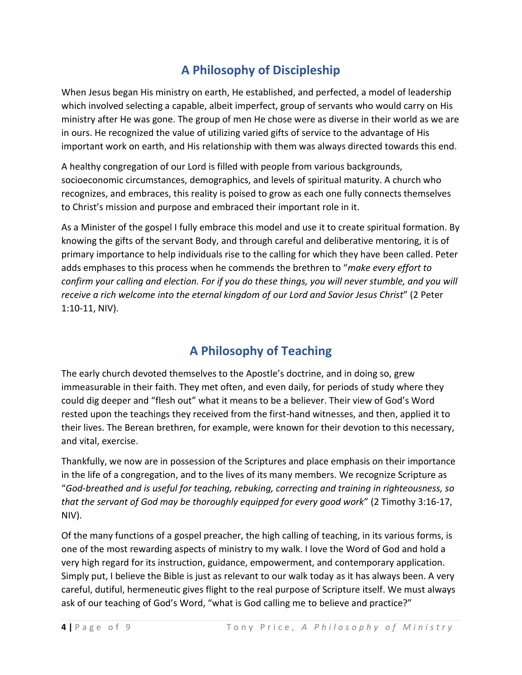## **A Philosophy of Discipleship**

When Jesus began His ministry on earth, He established, and perfected, a model of leadership which involved selecting a capable, albeit imperfect, group of servants who would carry on His ministry after He was gone. The group of men He chose were as diverse in their world as we are in ours. He recognized the value of utilizing varied gifts of service to the advantage of His important work on earth, and His relationship with them was always directed towards this end.

A healthy congregation of our Lord is filled with people from various backgrounds, socioeconomic circumstances, demographics, and levels of spiritual maturity. A church who recognizes, and embraces, this reality is poised to grow as each one fully connects themselves to Christ's mission and purpose and embraced their important role in it.

As a Minister of the gospel I fully embrace this model and use it to create spiritual formation. By knowing the gifts of the servant Body, and through careful and deliberative mentoring, it is of primary importance to help individuals rise to the calling for which they have been called. Peter adds emphases to this process when he commends the brethren to "*make every effort to confirm your calling and election. For if you do these things, you will never stumble, and you will receive a rich welcome into the eternal kingdom of our Lord and Savior Jesus Christ*" (2 Peter 1:10-11, NIV).

#### **A Philosophy of Teaching**

The early church devoted themselves to the Apostle's doctrine, and in doing so, grew immeasurable in their faith. They met often, and even daily, for periods of study where they could dig deeper and "flesh out" what it means to be a believer. Their view of God's Word rested upon the teachings they received from the first-hand witnesses, and then, applied it to their lives. The Berean brethren, for example, were known for their devotion to this necessary, and vital, exercise.

Thankfully, we now are in possession of the Scriptures and place emphasis on their importance in the life of a congregation, and to the lives of its many members. We recognize Scripture as "*God-breathed and is useful for teaching, rebuking, correcting and training in righteousness, so that the servant of God may be thoroughly equipped for every good work*" (2 Timothy 3:16-17, NIV).

Of the many functions of a gospel preacher, the high calling of teaching, in its various forms, is one of the most rewarding aspects of ministry to my walk. I love the Word of God and hold a very high regard for its instruction, guidance, empowerment, and contemporary application. Simply put, I believe the Bible is just as relevant to our walk today as it has always been. A very careful, dutiful, hermeneutic gives flight to the real purpose of Scripture itself. We must always ask of our teaching of God's Word, "what is God calling me to believe and practice?"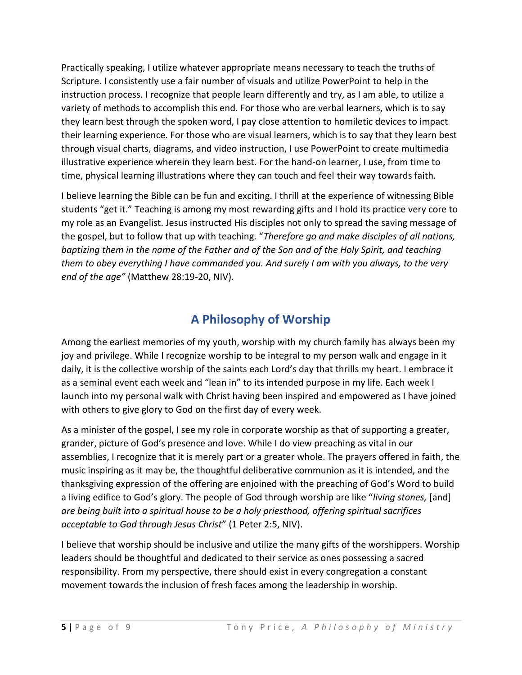Practically speaking, I utilize whatever appropriate means necessary to teach the truths of Scripture. I consistently use a fair number of visuals and utilize PowerPoint to help in the instruction process. I recognize that people learn differently and try, as I am able, to utilize a variety of methods to accomplish this end. For those who are verbal learners, which is to say they learn best through the spoken word, I pay close attention to homiletic devices to impact their learning experience. For those who are visual learners, which is to say that they learn best through visual charts, diagrams, and video instruction, I use PowerPoint to create multimedia illustrative experience wherein they learn best. For the hand-on learner, I use, from time to time, physical learning illustrations where they can touch and feel their way towards faith.

I believe learning the Bible can be fun and exciting. I thrill at the experience of witnessing Bible students "get it." Teaching is among my most rewarding gifts and I hold its practice very core to my role as an Evangelist. Jesus instructed His disciples not only to spread the saving message of the gospel, but to follow that up with teaching. "*Therefore go and make disciples of all nations, baptizing them in the name of the Father and of the Son and of the Holy Spirit, and teaching them to obey everything I have commanded you. And surely I am with you always, to the very end of the age"* (Matthew 28:19-20, NIV).

#### **A Philosophy of Worship**

Among the earliest memories of my youth, worship with my church family has always been my joy and privilege. While I recognize worship to be integral to my person walk and engage in it daily, it is the collective worship of the saints each Lord's day that thrills my heart. I embrace it as a seminal event each week and "lean in" to its intended purpose in my life. Each week I launch into my personal walk with Christ having been inspired and empowered as I have joined with others to give glory to God on the first day of every week.

As a minister of the gospel, I see my role in corporate worship as that of supporting a greater, grander, picture of God's presence and love. While I do view preaching as vital in our assemblies, I recognize that it is merely part or a greater whole. The prayers offered in faith, the music inspiring as it may be, the thoughtful deliberative communion as it is intended, and the thanksgiving expression of the offering are enjoined with the preaching of God's Word to build a living edifice to God's glory. The people of God through worship are like "*living stones,* [and] *are being built into a spiritual house to be a holy priesthood, offering spiritual sacrifices acceptable to God through Jesus Christ*" (1 Peter 2:5, NIV).

I believe that worship should be inclusive and utilize the many gifts of the worshippers. Worship leaders should be thoughtful and dedicated to their service as ones possessing a sacred responsibility. From my perspective, there should exist in every congregation a constant movement towards the inclusion of fresh faces among the leadership in worship.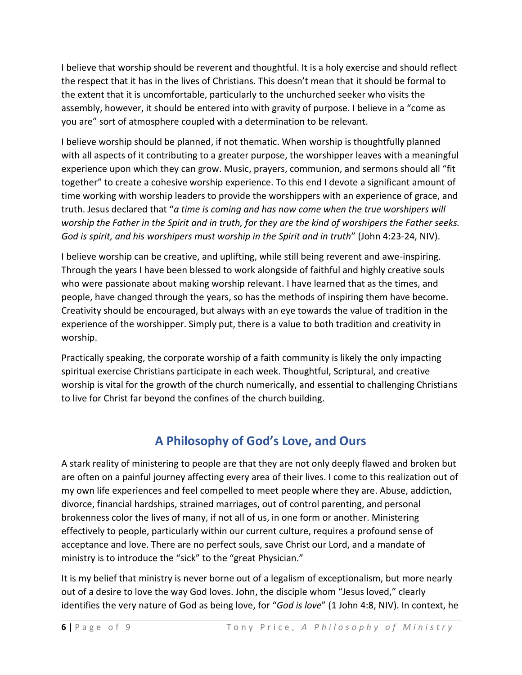I believe that worship should be reverent and thoughtful. It is a holy exercise and should reflect the respect that it has in the lives of Christians. This doesn't mean that it should be formal to the extent that it is uncomfortable, particularly to the unchurched seeker who visits the assembly, however, it should be entered into with gravity of purpose. I believe in a "come as you are" sort of atmosphere coupled with a determination to be relevant.

I believe worship should be planned, if not thematic. When worship is thoughtfully planned with all aspects of it contributing to a greater purpose, the worshipper leaves with a meaningful experience upon which they can grow. Music, prayers, communion, and sermons should all "fit together" to create a cohesive worship experience. To this end I devote a significant amount of time working with worship leaders to provide the worshippers with an experience of grace, and truth. Jesus declared that "*a time is coming and has now come when the true worshipers will worship the Father in the Spirit and in truth, for they are the kind of worshipers the Father seeks. God is spirit, and his worshipers must worship in the Spirit and in truth*" (John 4:23-24, NIV).

I believe worship can be creative, and uplifting, while still being reverent and awe-inspiring. Through the years I have been blessed to work alongside of faithful and highly creative souls who were passionate about making worship relevant. I have learned that as the times, and people, have changed through the years, so has the methods of inspiring them have become. Creativity should be encouraged, but always with an eye towards the value of tradition in the experience of the worshipper. Simply put, there is a value to both tradition and creativity in worship.

Practically speaking, the corporate worship of a faith community is likely the only impacting spiritual exercise Christians participate in each week. Thoughtful, Scriptural, and creative worship is vital for the growth of the church numerically, and essential to challenging Christians to live for Christ far beyond the confines of the church building.

#### **A Philosophy of God's Love, and Ours**

A stark reality of ministering to people are that they are not only deeply flawed and broken but are often on a painful journey affecting every area of their lives. I come to this realization out of my own life experiences and feel compelled to meet people where they are. Abuse, addiction, divorce, financial hardships, strained marriages, out of control parenting, and personal brokenness color the lives of many, if not all of us, in one form or another. Ministering effectively to people, particularly within our current culture, requires a profound sense of acceptance and love. There are no perfect souls, save Christ our Lord, and a mandate of ministry is to introduce the "sick" to the "great Physician."

It is my belief that ministry is never borne out of a legalism of exceptionalism, but more nearly out of a desire to love the way God loves. John, the disciple whom "Jesus loved," clearly identifies the very nature of God as being love, for "*God is love*" (1 John 4:8, NIV). In context, he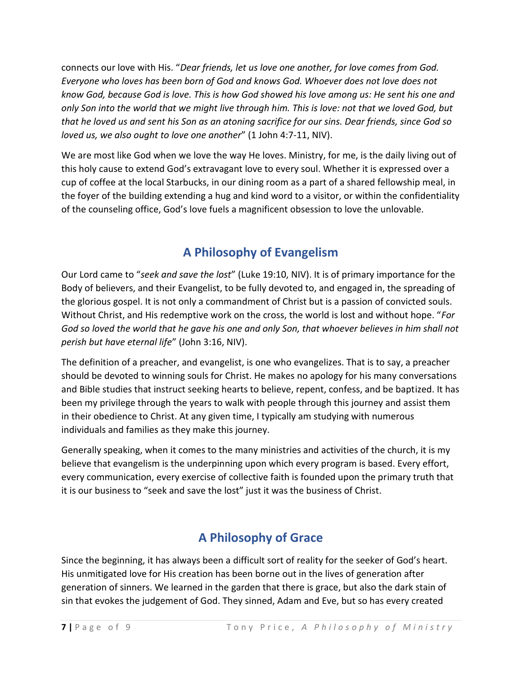connects our love with His. "*Dear friends, let us love one another, for love comes from God. Everyone who loves has been born of God and knows God. Whoever does not love does not know God, because God is love. This is how God showed his love among us: He sent his one and only Son into the world that we might live through him. This is love: not that we loved God, but that he loved us and sent his Son as an atoning sacrifice for our sins. Dear friends, since God so loved us, we also ought to love one another*" (1 John 4:7-11, NIV).

We are most like God when we love the way He loves. Ministry, for me, is the daily living out of this holy cause to extend God's extravagant love to every soul. Whether it is expressed over a cup of coffee at the local Starbucks, in our dining room as a part of a shared fellowship meal, in the foyer of the building extending a hug and kind word to a visitor, or within the confidentiality of the counseling office, God's love fuels a magnificent obsession to love the unlovable.

## **A Philosophy of Evangelism**

Our Lord came to "*seek and save the lost*" (Luke 19:10, NIV). It is of primary importance for the Body of believers, and their Evangelist, to be fully devoted to, and engaged in, the spreading of the glorious gospel. It is not only a commandment of Christ but is a passion of convicted souls. Without Christ, and His redemptive work on the cross, the world is lost and without hope. "*For God so loved the world that he gave his one and only Son, that whoever believes in him shall not perish but have eternal life*" (John 3:16, NIV).

The definition of a preacher, and evangelist, is one who evangelizes. That is to say, a preacher should be devoted to winning souls for Christ. He makes no apology for his many conversations and Bible studies that instruct seeking hearts to believe, repent, confess, and be baptized. It has been my privilege through the years to walk with people through this journey and assist them in their obedience to Christ. At any given time, I typically am studying with numerous individuals and families as they make this journey.

Generally speaking, when it comes to the many ministries and activities of the church, it is my believe that evangelism is the underpinning upon which every program is based. Every effort, every communication, every exercise of collective faith is founded upon the primary truth that it is our business to "seek and save the lost" just it was the business of Christ.

# **A Philosophy of Grace**

Since the beginning, it has always been a difficult sort of reality for the seeker of God's heart. His unmitigated love for His creation has been borne out in the lives of generation after generation of sinners. We learned in the garden that there is grace, but also the dark stain of sin that evokes the judgement of God. They sinned, Adam and Eve, but so has every created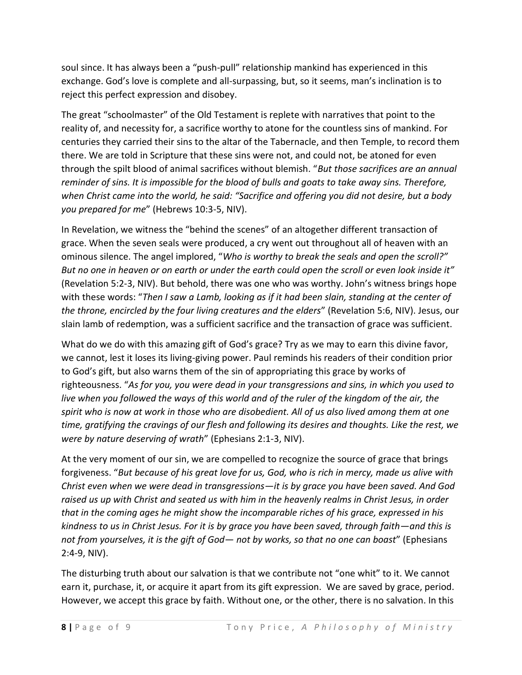soul since. It has always been a "push-pull" relationship mankind has experienced in this exchange. God's love is complete and all-surpassing, but, so it seems, man's inclination is to reject this perfect expression and disobey.

The great "schoolmaster" of the Old Testament is replete with narratives that point to the reality of, and necessity for, a sacrifice worthy to atone for the countless sins of mankind. For centuries they carried their sins to the altar of the Tabernacle, and then Temple, to record them there. We are told in Scripture that these sins were not, and could not, be atoned for even through the spilt blood of animal sacrifices without blemish. "*But those sacrifices are an annual reminder of sins. It is impossible for the blood of bulls and goats to take away sins. Therefore, when Christ came into the world, he said: "Sacrifice and offering you did not desire, but a body you prepared for me*" (Hebrews 10:3-5, NIV).

In Revelation, we witness the "behind the scenes" of an altogether different transaction of grace. When the seven seals were produced, a cry went out throughout all of heaven with an ominous silence. The angel implored, "*Who is worthy to break the seals and open the scroll?" But no one in heaven or on earth or under the earth could open the scroll or even look inside it"* (Revelation 5:2-3, NIV). But behold, there was one who was worthy. John's witness brings hope with these words: "*Then I saw a Lamb, looking as if it had been slain, standing at the center of the throne, encircled by the four living creatures and the elders*" (Revelation 5:6, NIV). Jesus, our slain lamb of redemption, was a sufficient sacrifice and the transaction of grace was sufficient.

What do we do with this amazing gift of God's grace? Try as we may to earn this divine favor, we cannot, lest it loses its living-giving power. Paul reminds his readers of their condition prior to God's gift, but also warns them of the sin of appropriating this grace by works of righteousness. "*As for you, you were dead in your transgressions and sins, in which you used to live when you followed the ways of this world and of the ruler of the kingdom of the air, the spirit who is now at work in those who are disobedient. All of us also lived among them at one time, gratifying the cravings of our flesh and following its desires and thoughts. Like the rest, we were by nature deserving of wrath*" (Ephesians 2:1-3, NIV).

At the very moment of our sin, we are compelled to recognize the source of grace that brings forgiveness. "*But because of his great love for us, God, who is rich in mercy, made us alive with Christ even when we were dead in transgressions—it is by grace you have been saved. And God raised us up with Christ and seated us with him in the heavenly realms in Christ Jesus, in order that in the coming ages he might show the incomparable riches of his grace, expressed in his kindness to us in Christ Jesus. For it is by grace you have been saved, through faith—and this is not from yourselves, it is the gift of God— not by works, so that no one can boast*" (Ephesians 2:4-9, NIV).

The disturbing truth about our salvation is that we contribute not "one whit" to it. We cannot earn it, purchase, it, or acquire it apart from its gift expression. We are saved by grace, period. However, we accept this grace by faith. Without one, or the other, there is no salvation. In this